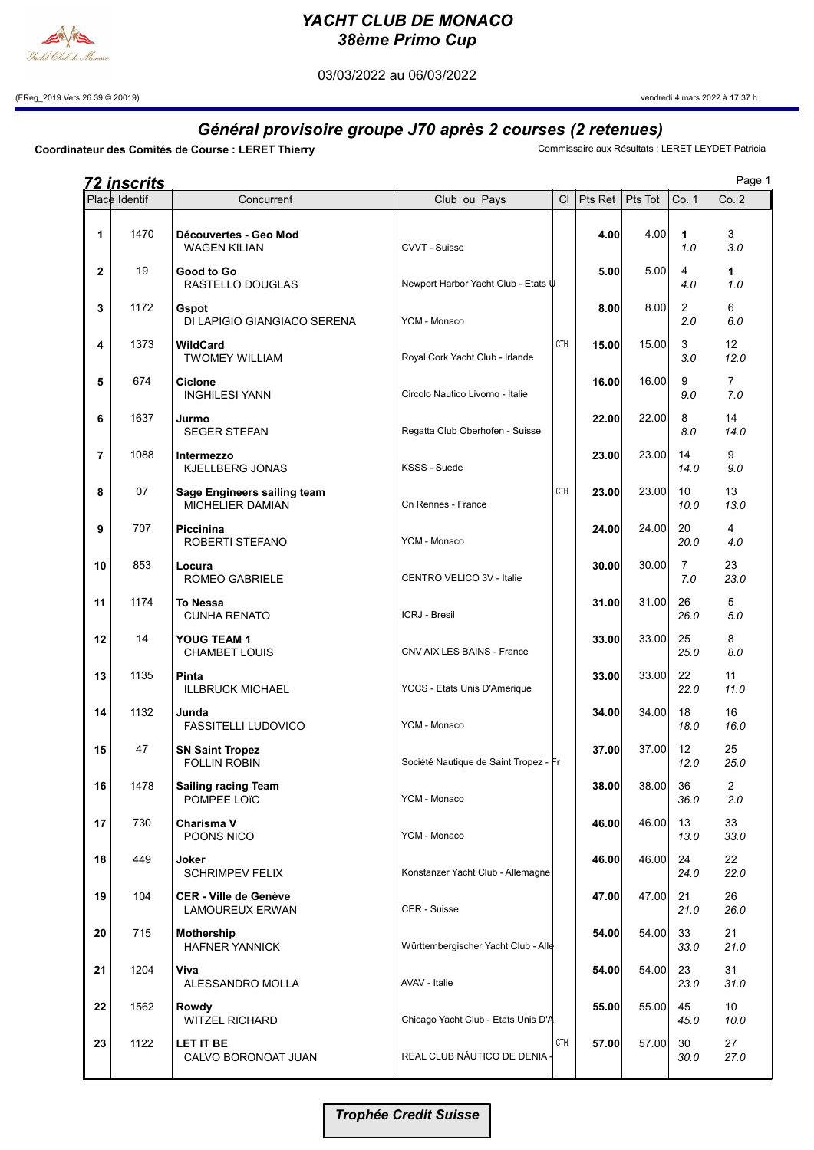

## YACHT CLUB DE MONACO 38ème Primo Cup

03/03/2022 au 06/03/2022

(FReg\_2019 Vers.26.39 © 20019) vendredi 4 mars 2022 à 17.37 h.

## Général provisoire groupe J70 après 2 courses (2 retenues)<br>Commissaire aux Résultats : LERET LEYDET Patricia

Coordinateur des Comités de Course : LERET Thierry

|    | <b>72 inscrits</b> |                                                        |                                                |            |                   |       |                       | Page 1                  |
|----|--------------------|--------------------------------------------------------|------------------------------------------------|------------|-------------------|-------|-----------------------|-------------------------|
|    | Place Identif      | Concurrent                                             | Club ou Pays                                   | CI         | Pts Ret   Pts Tot |       | Co. 1                 | Co.2                    |
| 1  | 1470               | Découvertes - Geo Mod<br><b>WAGEN KILIAN</b>           | CVVT - Suisse                                  |            | 4.00              | 4.00  | 1<br>1.0              | 3<br>3.0                |
| 2  | 19                 | Good to Go<br>RASTELLO DOUGLAS                         | Newport Harbor Yacht Club - Etats $\Downarrow$ |            | 5.00              | 5.00  | 4<br>4.0              | 1<br>1.0                |
| 3  | 1172               | Gspot<br>DI LAPIGIO GIANGIACO SERENA                   | YCM - Monaco                                   |            | 8.00              | 8.00  | $\overline{2}$<br>2.0 | 6<br>6.0                |
| 4  | 1373               | <b>WildCard</b><br><b>TWOMEY WILLIAM</b>               | Royal Cork Yacht Club - Irlande                | <b>CTH</b> | 15.00             | 15.00 | 3<br>3.0              | 12 <sup>°</sup><br>12.0 |
| 5  | 674                | <b>Ciclone</b><br><b>INGHILESI YANN</b>                | Circolo Nautico Livorno - Italie               |            | 16.00             | 16.00 | 9<br>9.0              | $\overline{7}$<br>7.0   |
| 6  | 1637               | Jurmo<br><b>SEGER STEFAN</b>                           | Regatta Club Oberhofen - Suisse                |            | 22.00             | 22.00 | 8<br>8.0              | 14<br>14.0              |
| 7  | 1088               | Intermezzo<br>KJELLBERG JONAS                          | KSSS - Suede                                   |            | 23.00             | 23.00 | 14<br>14.0            | 9<br>9.0                |
| 8  | 07                 | Sage Engineers sailing team<br><b>MICHELIER DAMIAN</b> | Cn Rennes - France                             | <b>CTH</b> | 23.00             | 23.00 | 10<br>10.0            | 13<br>13.0              |
| 9  | 707                | Piccinina<br>ROBERTI STEFANO                           | YCM - Monaco                                   |            | 24.00             | 24.00 | 20<br>20.0            | 4<br>4.0                |
| 10 | 853                | Locura<br>ROMEO GABRIELE                               | CENTRO VELICO 3V - Italie                      |            | 30.00             | 30.00 | $\overline{7}$<br>7.0 | 23<br>23.0              |
| 11 | 1174               | <b>To Nessa</b><br><b>CUNHA RENATO</b>                 | ICRJ - Bresil                                  |            | 31.00             | 31.00 | 26<br>26.0            | 5<br>5.0                |
| 12 | 14                 | YOUG TEAM 1<br><b>CHAMBET LOUIS</b>                    | CNV AIX LES BAINS - France                     |            | 33.00             | 33.00 | 25<br>25.0            | 8<br>8.0                |
| 13 | 1135               | Pinta<br><b>ILLBRUCK MICHAEL</b>                       | YCCS - Etats Unis D'Amerique                   |            | 33.00             | 33.00 | 22<br>22.0            | 11<br>11.0              |
| 14 | 1132               | Junda<br><b>FASSITELLI LUDOVICO</b>                    | YCM - Monaco                                   |            | 34.00             | 34.00 | 18<br>18.0            | 16<br>16.0              |
| 15 | 47                 | <b>SN Saint Tropez</b><br><b>FOLLIN ROBIN</b>          | Société Nautique de Saint Tropez - Fr          |            | 37.00             | 37.00 | 12<br>12.0            | 25<br>25.0              |
| 16 | 1478               | <b>Sailing racing Team</b><br>POMPEE LOTC              | YCM - Monaco                                   |            | 38.00             | 38.00 | 36<br>36.0            | $\overline{2}$<br>2.0   |
| 17 | 730                | Charisma V<br>POONS NICO                               | YCM - Monaco                                   |            | 46.00             | 46.00 | 13<br>13.0            | 33<br>33.0              |
| 18 | 449                | Joker<br><b>SCHRIMPEV FELIX</b>                        | Konstanzer Yacht Club - Allemagne              |            | 46.00             | 46.00 | 24<br>24.0            | 22<br>22.0              |
| 19 | 104                | <b>CER - Ville de Genève</b><br><b>LAMOUREUX ERWAN</b> | <b>CER - Suisse</b>                            |            | 47.00             | 47.00 | 21<br>21.0            | 26<br>26.0              |
| 20 | 715                | Mothership<br><b>HAFNER YANNICK</b>                    | Württembergischer Yacht Club - Alle            |            | 54.00             | 54.00 | 33<br>33.0            | 21<br>21.0              |
| 21 | 1204               | Viva<br>ALESSANDRO MOLLA                               | AVAV - Italie                                  |            | 54.00             | 54.00 | 23<br>23.0            | 31<br>31.0              |
| 22 | 1562               | <b>Rowdy</b><br><b>WITZEL RICHARD</b>                  | Chicago Yacht Club - Etats Unis D'A            |            | 55.00             | 55.00 | 45<br>45.0            | 10 <sup>°</sup><br>10.0 |
| 23 | 1122               | LET IT BE<br>CALVO BORONOAT JUAN                       | REAL CLUB NÁUTICO DE DENIA -                   | CTH        | 57.00             | 57.00 | 30<br>30.0            | 27<br>27.0              |
|    |                    |                                                        |                                                |            |                   |       |                       |                         |

Trophée Credit Suisse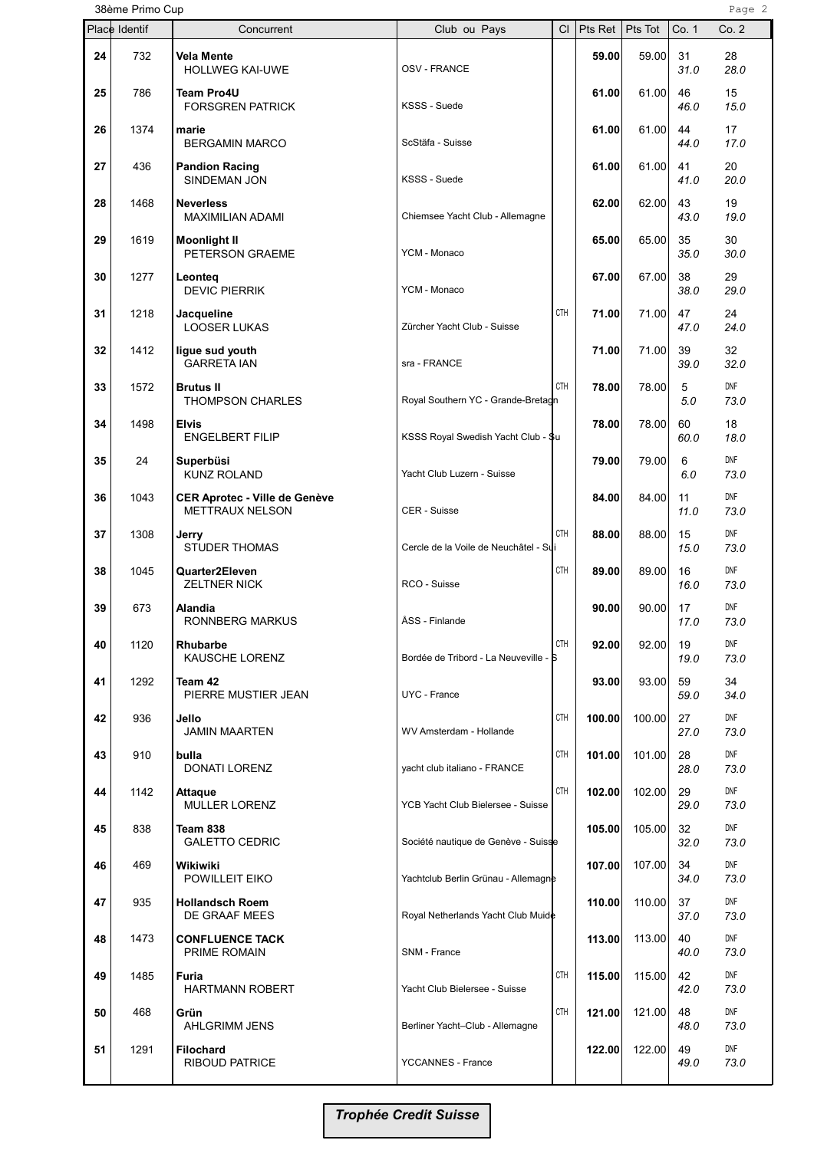| 38ème Primo Cup<br>Page 2 |               |                                                                |                                       |            |                  |                  |                  |                    |
|---------------------------|---------------|----------------------------------------------------------------|---------------------------------------|------------|------------------|------------------|------------------|--------------------|
|                           | Place Identif | Concurrent                                                     | Club ou Pays                          | <b>CI</b>  | Pts Ret          | Pts Tot          | Co. 1            | Co.2               |
| 24                        | 732           | <b>Vela Mente</b><br><b>HOLLWEG KAI-UWE</b>                    | <b>OSV - FRANCE</b>                   |            | 59.00            | 59.00            | 31<br>31.0       | 28<br>28.0         |
| 25                        | 786           | <b>Team Pro4U</b><br><b>FORSGREN PATRICK</b>                   | KSSS - Suede                          |            | 61.00            | 61.00            | 46<br>46.0       | 15<br>15.0         |
| 26                        | 1374          | marie<br><b>BERGAMIN MARCO</b>                                 | ScStäfa - Suisse                      |            | 61.00            | 61.00            | 44<br>44.0       | 17<br>17.0         |
| 27                        | 436           | <b>Pandion Racing</b><br>SINDEMAN JON                          | KSSS - Suede                          |            | 61.00            | 61.00            | 41<br>41.0       | 20<br>20.0         |
| 28                        | 1468          | <b>Neverless</b><br><b>MAXIMILIAN ADAMI</b>                    | Chiemsee Yacht Club - Allemagne       |            | 62.00            | 62.00            | 43<br>43.0       | 19<br>19.0         |
| 29                        | 1619          | <b>Moonlight II</b><br>PETERSON GRAEME                         | YCM - Monaco                          |            | 65.00            | 65.00            | 35<br>35.0       | 30<br>30.0         |
| 30                        | 1277          | Leonteg<br><b>DEVIC PIERRIK</b>                                | YCM - Monaco                          |            | 67.00            | 67.00            | 38<br>38.0       | 29<br>29.0         |
| 31                        | 1218          | Jacqueline<br><b>LOOSER LUKAS</b>                              | Zürcher Yacht Club - Suisse           | CTH        | 71.00            | 71.00            | 47<br>47.0       | 24<br>24.0         |
| 32                        | 1412          | ligue sud youth<br><b>GARRETA IAN</b>                          | sra - FRANCE                          |            | 71.00            | 71.00            | 39<br>39.0       | 32<br>32.0         |
| 33                        | 1572          | <b>Brutus II</b><br>THOMPSON CHARLES                           | Royal Southern YC - Grande-Bretagn    | <b>CTH</b> | 78.00            | 78.00            | 5<br>5.0         | <b>DNF</b><br>73.0 |
| 34                        | 1498          | <b>Elvis</b><br><b>ENGELBERT FILIP</b>                         | KSSS Royal Swedish Yacht Club - \$u   |            | 78.00            | 78.00            | 60<br>60.0       | 18<br>18.0         |
| 35                        | 24            | Superbüsi<br><b>KUNZ ROLAND</b>                                | Yacht Club Luzern - Suisse            |            | 79.00            | 79.00            | 6<br>6.0         | <b>DNF</b><br>73.0 |
| 36                        | 1043          | <b>CER Aprotec - Ville de Genève</b><br><b>METTRAUX NELSON</b> | CER - Suisse                          |            | 84.00            | 84.00            | 11<br>11.0       | <b>DNF</b><br>73.0 |
| 37                        | 1308          | Jerry<br><b>STUDER THOMAS</b>                                  | Cercle de la Voile de Neuchâtel - Sui | <b>CTH</b> | 88.00            | 88.00            | 15<br>15.0       | <b>DNF</b><br>73.0 |
| 38                        | 1045          | Quarter2Eleven<br><b>ZELTNER NICK</b>                          | RCO - Suisse                          | CTH        | 89.00            | 89.00            | 16<br>16.0       | <b>DNF</b><br>73.0 |
| 39                        | 673           | Alandia<br>RONNBERG MARKUS                                     | ÅSS - Finlande                        |            | 90.00            | 90.00            | 17<br>17.0       | <b>DNF</b><br>73.0 |
| 40                        | 1120          | Rhubarbe<br><b>KAUSCHE LORENZ</b>                              | Bordée de Tribord - La Neuveville - S | CTH        | 92.00            | 92.00            | 19<br>19.0       | DNF<br>73.0        |
| 41                        | 1292          | Team 42<br>PIERRE MUSTIER JEAN                                 | UYC - France                          |            | 93.00            | 93.00            | 59<br>59.0       | 34<br>34.0         |
| 42                        | 936           | Jello<br><b>JAMIN MAARTEN</b>                                  | WV Amsterdam - Hollande               | CTH        | 100.00           | 100.00           | 27<br>27.0       | DNF<br>73.0<br>DNF |
| 43                        | 910           | bulla<br><b>DONATI LORENZ</b>                                  | yacht club italiano - FRANCE          | CTH<br>CTH | 101.00<br>102.00 | 101.00           | 28<br>28.0<br>29 | 73.0<br>DNF        |
| 44<br>45                  | 1142<br>838   | <b>Attaque</b><br><b>MULLER LORENZ</b><br>Team 838             | YCB Yacht Club Bielersee - Suisse     |            | 105.00           | 102.00<br>105.00 | 29.0<br>32       | 73.0<br>DNF        |
| 46                        | 469           | <b>GALETTO CEDRIC</b><br>Wikiwiki                              | Société nautique de Genève - Suisse   |            | 107.00           | 107.00           | 32.0<br>34       | 73.0<br>DNF        |
| 47                        | 935           | POWILLEIT EIKO<br><b>Hollandsch Roem</b>                       | Yachtclub Berlin Grünau - Allemagne   |            | 110.00           | 110.00           | 34.0<br>37       | 73.0<br><b>DNF</b> |
| 48                        | 1473          | DE GRAAF MEES<br><b>CONFLUENCE TACK</b>                        | Royal Netherlands Yacht Club Muide    |            | 113.00           | 113.00           | 37.0<br>40       | 73.0<br>DNF        |
|                           | 1485          | PRIME ROMAIN<br>Furia                                          | SNM - France                          | CTH        | 115.00           | 115.00           | 40.0<br>42       | 73.0<br>DNF        |
| 49                        |               | <b>HARTMANN ROBERT</b>                                         | Yacht Club Bielersee - Suisse         |            |                  |                  | 42.0             | 73.0<br>DNF        |
| 50                        | 468           | Grün<br><b>AHLGRIMM JENS</b>                                   | Berliner Yacht-Club - Allemagne       | CTH        | 121.00           | 121.00           | 48<br>48.0       | 73.0               |
| 51                        | 1291          | <b>Filochard</b><br><b>RIBOUD PATRICE</b>                      | <b>YCCANNES - France</b>              |            | 122.00           | 122.00           | 49<br>49.0       | <b>DNF</b><br>73.0 |

Trophée Credit Suisse